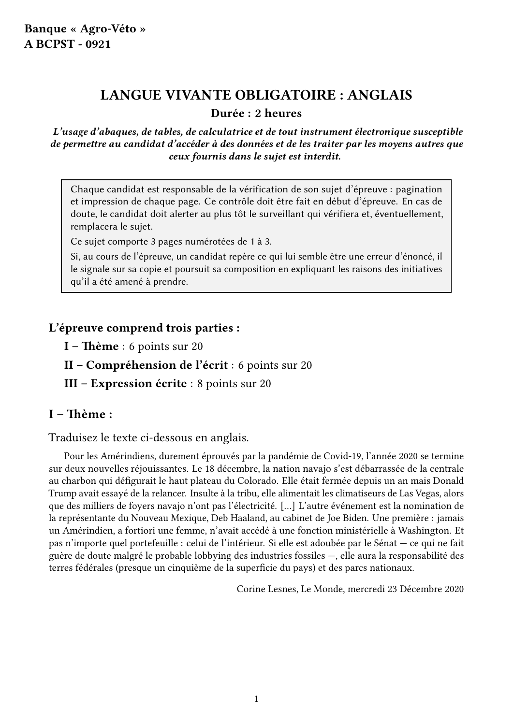## LANGUE VIVANTE OBLIGATOIRE : ANGLAIS

Durée : 2 heures

L'usage d'abaques, de tables, de calculatrice et de tout instrument électronique susceptible de permettre au candidat d'accéder à des données et de les traiter par les moyens autres que ceux fournis dans le sujet est interdit.

Chaque candidat est responsable de la vérification de son sujet d'épreuve : pagination et impression de chaque page. Ce contrôle doit être fait en début d'épreuve. En cas de doute, le candidat doit alerter au plus tôt le surveillant qui vérifiera et, éventuellement, remplacera le sujet.

Ce sujet comporte 3 pages numérotées de 1 à 3.

Si, au cours de l'épreuve, un candidat repère ce qui lui semble être une erreur d'énoncé, il le signale sur sa copie et poursuit sa composition en expliquant les raisons des initiatives qu'il a été amené à prendre.

#### L'épreuve comprend trois parties :

I – Thème : 6 points sur 20

- II Compréhension de l'écrit : 6 points sur 20
- III Expression écrite : 8 points sur 20

#### I – Thème :

Traduisez le texte ci-dessous en anglais.

Pour les Amérindiens, durement éprouvés par la pandémie de Covid-19, l'année 2020 se termine sur deux nouvelles réjouissantes. Le 18 décembre, la nation navajo s'est débarrassée de la centrale au charbon qui défigurait le haut plateau du Colorado. Elle était fermée depuis un an mais Donald Trump avait essayé de la relancer. Insulte à la tribu, elle alimentait les climatiseurs de Las Vegas, alors que des milliers de foyers navajo n'ont pas l'électricité. […] L'autre événement est la nomination de la représentante du Nouveau Mexique, Deb Haaland, au cabinet de Joe Biden. Une première : jamais un Amérindien, a fortiori une femme, n'avait accédé à une fonction ministérielle à Washington. Et pas n'importe quel portefeuille : celui de l'intérieur. Si elle est adoubée par le Sénat — ce qui ne fait guère de doute malgré le probable lobbying des industries fossiles —, elle aura la responsabilité des terres fédérales (presque un cinquième de la superficie du pays) et des parcs nationaux.

Corine Lesnes, Le Monde, mercredi 23 Décembre 2020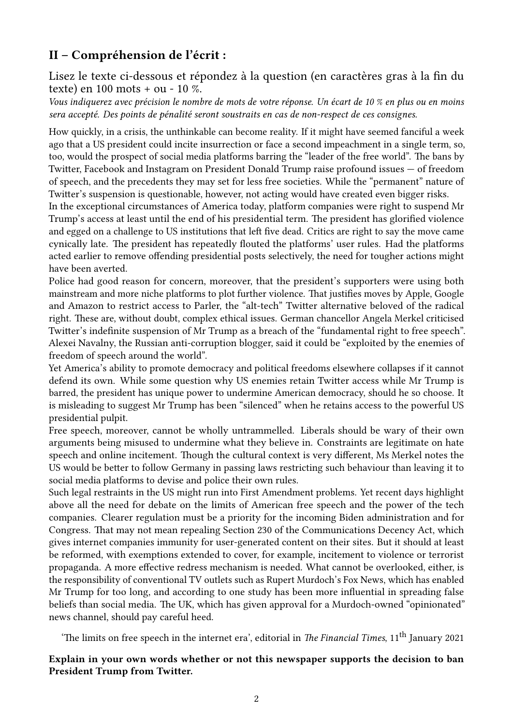### II – Compréhension de l'écrit :

Lisez le texte ci-dessous et répondez à la question (en caractères gras à la fin du texte) en 100 mots + ou - 10 %.

Vous indiquerez avec précision le nombre de mots de votre réponse. Un écart de 10 % en plus ou en moins sera accepté. Des points de pénalité seront soustraits en cas de non-respect de ces consignes.

How quickly, in a crisis, the unthinkable can become reality. If it might have seemed fanciful a week ago that a US president could incite insurrection or face a second impeachment in a single term, so, too, would the prospect of social media platforms barring the "leader of the free world". The bans by Twitter, Facebook and Instagram on President Donald Trump raise profound issues — of freedom of speech, and the precedents they may set for less free societies. While the "permanent" nature of Twitter's suspension is questionable, however, not acting would have created even bigger risks.

In the exceptional circumstances of America today, platform companies were right to suspend Mr Trump's access at least until the end of his presidential term. The president has glorified violence and egged on a challenge to US institutions that left five dead. Critics are right to say the move came cynically late. The president has repeatedly flouted the platforms' user rules. Had the platforms acted earlier to remove offending presidential posts selectively, the need for tougher actions might have been averted.

Police had good reason for concern, moreover, that the president's supporters were using both mainstream and more niche platforms to plot further violence. That justifies moves by Apple, Google and Amazon to restrict access to Parler, the "alt-tech" Twitter alternative beloved of the radical right. These are, without doubt, complex ethical issues. German chancellor Angela Merkel criticised Twitter's indefinite suspension of Mr Trump as a breach of the "fundamental right to free speech". Alexei Navalny, the Russian anti-corruption blogger, said it could be "exploited by the enemies of freedom of speech around the world".

Yet America's ability to promote democracy and political freedoms elsewhere collapses if it cannot defend its own. While some question why US enemies retain Twitter access while Mr Trump is barred, the president has unique power to undermine American democracy, should he so choose. It is misleading to suggest Mr Trump has been "silenced" when he retains access to the powerful US presidential pulpit.

Free speech, moreover, cannot be wholly untrammelled. Liberals should be wary of their own arguments being misused to undermine what they believe in. Constraints are legitimate on hate speech and online incitement. Though the cultural context is very different, Ms Merkel notes the US would be better to follow Germany in passing laws restricting such behaviour than leaving it to social media platforms to devise and police their own rules.

Such legal restraints in the US might run into First Amendment problems. Yet recent days highlight above all the need for debate on the limits of American free speech and the power of the tech companies. Clearer regulation must be a priority for the incoming Biden administration and for Congress. That may not mean repealing Section 230 of the Communications Decency Act, which gives internet companies immunity for user-generated content on their sites. But it should at least be reformed, with exemptions extended to cover, for example, incitement to violence or terrorist propaganda. A more effective redress mechanism is needed. What cannot be overlooked, either, is the responsibility of conventional TV outlets such as Rupert Murdoch's Fox News, which has enabled Mr Trump for too long, and according to one study has been more influential in spreading false beliefs than social media. The UK, which has given approval for a Murdoch-owned "opinionated" news channel, should pay careful heed.

'The limits on free speech in the internet era', editorial in The Financial Times,  $11<sup>th</sup>$  January 2021

#### Explain in your own words whether or not this newspaper supports the decision to ban President Trump from Twitter.